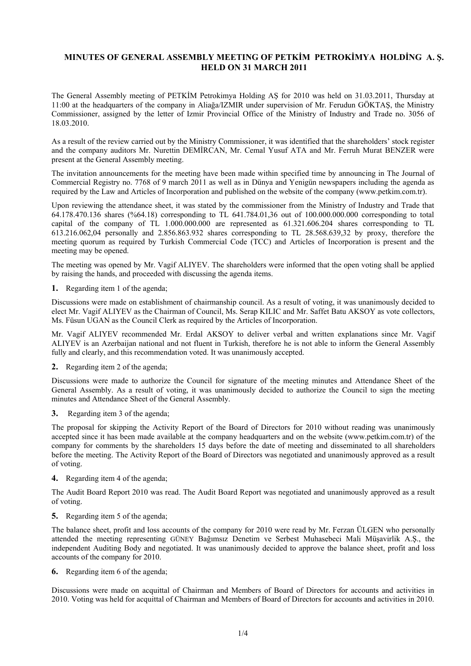# **MINUTES OF GENERAL ASSEMBLY MEETING OF PETKİM PETROKİMYA HOLDİNG A. Ş. HELD ON 31 MARCH 2011**

The General Assembly meeting of PETKİM Petrokimya Holding AŞ for 2010 was held on 31.03.2011, Thursday at 11:00 at the headquarters of the company in Aliağa/IZMIR under supervision of Mr. Ferudun GÖKTAŞ, the Ministry Commissioner, assigned by the letter of Izmir Provincial Office of the Ministry of Industry and Trade no. 3056 of 18.03.2010.

As a result of the review carried out by the Ministry Commissioner, it was identified that the shareholders' stock register and the company auditors Mr. Nurettin DEMİRCAN, Mr. Cemal Yusuf ATA and Mr. Ferruh Murat BENZER were present at the General Assembly meeting.

The invitation announcements for the meeting have been made within specified time by announcing in The Journal of Commercial Registry no. 7768 of 9 march 2011 as well as in Dünya and Yenigün newspapers including the agenda as required by the Law and Articles of Incorporation and published on the website of the company (www.petkim.com.tr).

Upon reviewing the attendance sheet, it was stated by the commissioner from the Ministry of Industry and Trade that 64.178.470.136 shares (%64.18) corresponding to TL 641.784.01,36 out of 100.000.000.000 corresponding to total capital of the company of TL 1.000.000.000 are represented as 61.321.606.204 shares corresponding to TL 613.216.062,04 personally and 2.856.863.932 shares corresponding to TL 28.568.639,32 by proxy, therefore the meeting quorum as required by Turkish Commercial Code (TCC) and Articles of Incorporation is present and the meeting may be opened.

The meeting was opened by Mr. Vagif ALIYEV. The shareholders were informed that the open voting shall be applied by raising the hands, and proceeded with discussing the agenda items.

**1.** Regarding item 1 of the agenda;

Discussions were made on establishment of chairmanship council. As a result of voting, it was unanimously decided to elect Mr. Vagif ALIYEV as the Chairman of Council, Ms. Serap KILIC and Mr. Saffet Batu AKSOY as vote collectors, Ms. Füsun UGAN as the Council Clerk as required by the Articles of Incorporation.

Mr. Vagif ALIYEV recommended Mr. Erdal AKSOY to deliver verbal and written explanations since Mr. Vagif ALIYEV is an Azerbaijan national and not fluent in Turkish, therefore he is not able to inform the General Assembly fully and clearly, and this recommendation voted. It was unanimously accepted.

**2.** Regarding item 2 of the agenda;

Discussions were made to authorize the Council for signature of the meeting minutes and Attendance Sheet of the General Assembly. As a result of voting, it was unanimously decided to authorize the Council to sign the meeting minutes and Attendance Sheet of the General Assembly.

**3.** Regarding item 3 of the agenda;

The proposal for skipping the Activity Report of the Board of Directors for 2010 without reading was unanimously accepted since it has been made available at the company headquarters and on the website (www.petkim.com.tr) of the company for comments by the shareholders 15 days before the date of meeting and disseminated to all shareholders before the meeting. The Activity Report of the Board of Directors was negotiated and unanimously approved as a result of voting.

**4.** Regarding item 4 of the agenda;

The Audit Board Report 2010 was read. The Audit Board Report was negotiated and unanimously approved as a result of voting.

**5.** Regarding item 5 of the agenda;

The balance sheet, profit and loss accounts of the company for 2010 were read by Mr. Ferzan ÜLGEN who personally attended the meeting representing GÜNEY Bağımsız Denetim ve Serbest Muhasebeci Mali Müşavirlik A.Ş., the independent Auditing Body and negotiated. It was unanimously decided to approve the balance sheet, profit and loss accounts of the company for 2010.

**6.** Regarding item 6 of the agenda;

Discussions were made on acquittal of Chairman and Members of Board of Directors for accounts and activities in 2010. Voting was held for acquittal of Chairman and Members of Board of Directors for accounts and activities in 2010.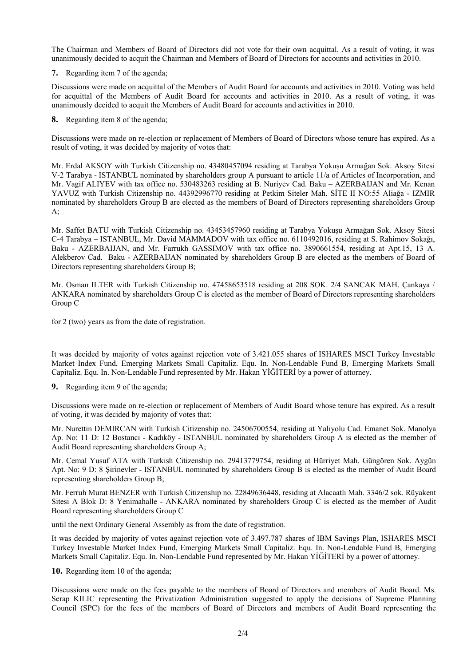The Chairman and Members of Board of Directors did not vote for their own acquittal. As a result of voting, it was unanimously decided to acquit the Chairman and Members of Board of Directors for accounts and activities in 2010.

**7.** Regarding item 7 of the agenda;

Discussions were made on acquittal of the Members of Audit Board for accounts and activities in 2010. Voting was held for acquittal of the Members of Audit Board for accounts and activities in 2010. As a result of voting, it was unanimously decided to acquit the Members of Audit Board for accounts and activities in 2010.

**8.** Regarding item 8 of the agenda;

Discussions were made on re-election or replacement of Members of Board of Directors whose tenure has expired. As a result of voting, it was decided by majority of votes that:

Mr. Erdal AKSOY with Turkish Citizenship no. 43480457094 residing at Tarabya Yokuşu Armağan Sok. Aksoy Sitesi V-2 Tarabya - ISTANBUL nominated by shareholders group A pursuant to article 11/a of Articles of Incorporation, and Mr. Vagif ALIYEV with tax office no. 530483263 residing at B. Nuriyev Cad. Baku – AZERBAIJAN and Mr. Kenan YAVUZ with Turkish Citizenship no. 44392996770 residing at Petkim Siteler Mah. SİTE II NO:55 Aliağa - IZMIR nominated by shareholders Group B are elected as the members of Board of Directors representing shareholders Group A;

Mr. Saffet BATU with Turkish Citizenship no. 43453457960 residing at Tarabya Yokuşu Armağan Sok. Aksoy Sitesi C-4 Tarabya – ISTANBUL, Mr. David MAMMADOV with tax office no. 6110492016, residing at S. Rahimov Sokağı, Baku - AZERBAIJAN, and Mr. Farrukh GASSIMOV with tax office no. 3890661554, residing at Apt.15, 13 A. Alekberov Cad. Baku - AZERBAIJAN nominated by shareholders Group B are elected as the members of Board of Directors representing shareholders Group B;

Mr. Osman ILTER with Turkish Citizenship no. 47458653518 residing at 208 SOK. 2/4 SANCAK MAH. Çankaya / ANKARA nominated by shareholders Group C is elected as the member of Board of Directors representing shareholders Group C

for 2 (two) years as from the date of registration.

It was decided by majority of votes against rejection vote of 3.421.055 shares of ISHARES MSCI Turkey Investable Market Index Fund, Emerging Markets Small Capitaliz. Equ. In. Non-Lendable Fund B, Emerging Markets Small Capitaliz. Equ. In. Non-Lendable Fund represented by Mr. Hakan YİĞİTERİ by a power of attorney.

**9.** Regarding item 9 of the agenda;

Discussions were made on re-election or replacement of Members of Audit Board whose tenure has expired. As a result of voting, it was decided by majority of votes that:

Mr. Nurettin DEMIRCAN with Turkish Citizenship no. 24506700554, residing at Yalıyolu Cad. Emanet Sok. Manolya Ap. No: 11 D: 12 Bostancı - Kadıköy - ISTANBUL nominated by shareholders Group A is elected as the member of Audit Board representing shareholders Group A;

Mr. Cemal Yusuf ATA with Turkish Citizenship no. 29413779754, residing at Hürriyet Mah. Güngören Sok. Aygün Apt. No: 9 D: 8 Şirinevler - ISTANBUL nominated by shareholders Group B is elected as the member of Audit Board representing shareholders Group B;

Mr. Ferruh Murat BENZER with Turkish Citizenship no. 22849636448, residing at Alacaatlı Mah. 3346/2 sok. Rüyakent Sitesi A Blok D: 8 Yenimahalle - ANKARA nominated by shareholders Group C is elected as the member of Audit Board representing shareholders Group C

until the next Ordinary General Assembly as from the date of registration.

It was decided by majority of votes against rejection vote of 3.497.787 shares of IBM Savings Plan, ISHARES MSCI Turkey Investable Market Index Fund, Emerging Markets Small Capitaliz. Equ. In. Non-Lendable Fund B, Emerging Markets Small Capitaliz. Equ. In. Non-Lendable Fund represented by Mr. Hakan YİĞİTERİ by a power of attorney.

**10.** Regarding item 10 of the agenda;

Discussions were made on the fees payable to the members of Board of Directors and members of Audit Board. Ms. Serap KILIC representing the Privatization Administration suggested to apply the decisions of Supreme Planning Council (SPC) for the fees of the members of Board of Directors and members of Audit Board representing the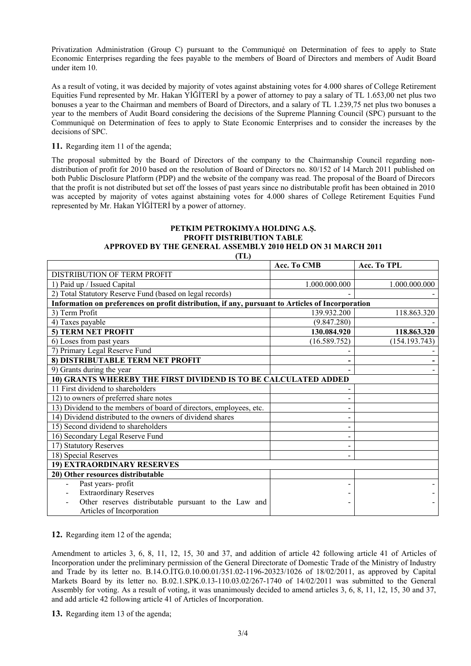Privatization Administration (Group C) pursuant to the Communiqué on Determination of fees to apply to State Economic Enterprises regarding the fees payable to the members of Board of Directors and members of Audit Board under item 10.

As a result of voting, it was decided by majority of votes against abstaining votes for 4.000 shares of College Retirement Equities Fund represented by Mr. Hakan YİĞİTERİ by a power of attorney to pay a salary of TL 1.653,00 net plus two bonuses a year to the Chairman and members of Board of Directors, and a salary of TL 1.239,75 net plus two bonuses a year to the members of Audit Board considering the decisions of the Supreme Planning Council (SPC) pursuant to the Communiqué on Determination of fees to apply to State Economic Enterprises and to consider the increases by the decisions of SPC.

**11.** Regarding item 11 of the agenda;

The proposal submitted by the Board of Directors of the company to the Chairmanship Council regarding nondistribution of profit for 2010 based on the resolution of Board of Directors no. 80/152 of 14 March 2011 published on both Public Disclosure Platform (PDP) and the website of the company was read. The proposal of the Board of Direcors that the profit is not distributed but set off the losses of past years since no distributable profit has been obtained in 2010 was accepted by majority of votes against abstaining votes for 4.000 shares of College Retirement Equities Fund represented by Mr. Hakan YİĞİTERİ by a power of attorney.

#### **PETKIM PETROKIMYA HOLDING A.Ş. PROFIT DISTRIBUTION TABLE APPROVED BY THE GENERAL ASSEMBLY 2010 HELD ON 31 MARCH 2011**

**(TL)** 

|                                                                                                  | Acc. To CMB   | Acc. To TPL   |
|--------------------------------------------------------------------------------------------------|---------------|---------------|
| DISTRIBUTION OF TERM PROFIT                                                                      |               |               |
| 1) Paid up / Issued Capital                                                                      | 1.000.000.000 | 1.000.000.000 |
| 2) Total Statutory Reserve Fund (based on legal records)                                         |               |               |
| Information on preferences on profit distribution, if any, pursuant to Articles of Incorporation |               |               |
| 3) Term Profit                                                                                   | 139.932.200   | 118.863.320   |
| 4) Taxes payable                                                                                 | (9.847.280)   |               |
| 5) TERM NET PROFIT                                                                               | 130.084.920   | 118.863.320   |
| $\overline{6}$ ) Loses from past years                                                           | (16.589.752)  | (154.193.743) |
| 7) Primary Legal Reserve Fund                                                                    |               |               |
| 8) DISTRIBUTABLE TERM NET PROFIT                                                                 |               |               |
| 9) Grants during the year                                                                        |               |               |
| 10) GRANTS WHEREBY THE FIRST DIVIDEND IS TO BE CALCULATED ADDED                                  |               |               |
| 11 First dividend to shareholders                                                                |               |               |
| 12) to owners of preferred share notes                                                           |               |               |
| 13) Dividend to the members of board of directors, employees, etc.                               |               |               |
| 14) Dividend distributed to the owners of dividend shares                                        |               |               |
| 15) Second dividend to shareholders                                                              |               |               |
| 16) Secondary Legal Reserve Fund                                                                 |               |               |
| 17) Statutory Reserves                                                                           |               |               |
| 18) Special Reserves                                                                             |               |               |
| 19) EXTRAORDINARY RESERVES                                                                       |               |               |
| 20) Other resources distributable                                                                |               |               |
| Past years-profit                                                                                |               |               |
| <b>Extraordinary Reserves</b>                                                                    |               |               |
| Other reserves distributable pursuant to the Law and                                             |               |               |
| Articles of Incorporation                                                                        |               |               |

**12.** Regarding item 12 of the agenda;

Amendment to articles 3, 6, 8, 11, 12, 15, 30 and 37, and addition of article 42 following article 41 of Articles of Incorporation under the preliminary permission of the General Directorate of Domestic Trade of the Ministry of Industry and Trade by its letter no. B.14.O.İTG.0.10.00.01/351.02-1196-20323/1026 of 18/02/2011, as approved by Capital Markets Board by its letter no. B.02.1.SPK.0.13-110.03.02/267-1740 of 14/02/2011 was submitted to the General Assembly for voting. As a result of voting, it was unanimously decided to amend articles 3, 6, 8, 11, 12, 15, 30 and 37, and add article 42 following article 41 of Articles of Incorporation.

**13.** Regarding item 13 of the agenda;